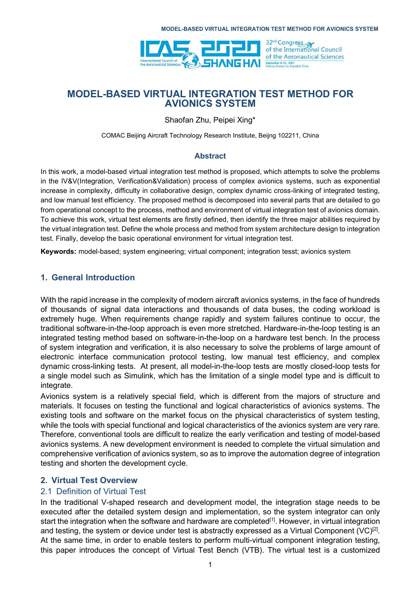

Shaofan Zhu, Peipei Xing\*

COMAC Beijing Aircraft Technology Research Institute, Beijng 102211, China

#### Abstract

In this work, a model-based virtual integration test method is proposed, which attempts to solve the problems in the IV&V(Integration, Verification&Validation) process of complex avionics systems, such as exponential increase in complexity, difficulty in collaborative design, complex dynamic cross-linking of integrated testing, and low manual test efficiency. The proposed method is decomposed into several parts that are detailed to go from operational concept to the process, method and environment of virtual integration test of avionics domain. To achieve this work, virtual test elements are firstly defined, then identify the three major abilities required by the virtual integration test. Define the whole process and method from system architecture design to integration test. Finally, develop the basic operational environment for virtual integration test.

Keywords: model-based; system engineering; virtual component; integration tesst; avionics system

### 1. General Introduction

With the rapid increase in the complexity of modern aircraft avionics systems, in the face of hundreds of thousands of signal data interactions and thousands of data buses, the coding workload is extremely huge. When requirements change rapidly and system failures continue to occur, the traditional software-in-the-loop approach is even more stretched. Hardware-in-the-loop testing is an integrated testing method based on software-in-the-loop on a hardware test bench. In the process of system integration and verification, it is also necessary to solve the problems of large amount of electronic interface communication protocol testing, low manual test efficiency, and complex dynamic cross-linking tests. At present, all model-in-the-loop tests are mostly closed-loop tests for a single model such as Simulink, which has the limitation of a single model type and is difficult to integrate.

Avionics system is a relatively special field, which is different from the majors of structure and materials. It focuses on testing the functional and logical characteristics of avionics systems. The existing tools and software on the market focus on the physical characteristics of system testing, while the tools with special functional and logical characteristics of the avionics system are very rare. Therefore, conventional tools are difficult to realize the early verification and testing of model-based avionics systems. A new development environment is needed to complete the virtual simulation and comprehensive verification of avionics system, so as to improve the automation degree of integration testing and shorten the development cycle.

## 2. Virtual Test Overview

### 2.1 Definition of Virtual Test

In the traditional V-shaped research and development model, the integration stage needs to be executed after the detailed system design and implementation, so the system integrator can only start the integration when the software and hardware are completed<sup>[1]</sup>. However, in virtual integration and testing, the system or device under test is abstractly expressed as a Virtual Component (VC) $^{[2]}$ . At the same time, in order to enable testers to perform multi-virtual component integration testing, this paper introduces the concept of Virtual Test Bench (VTB). The virtual test is a customized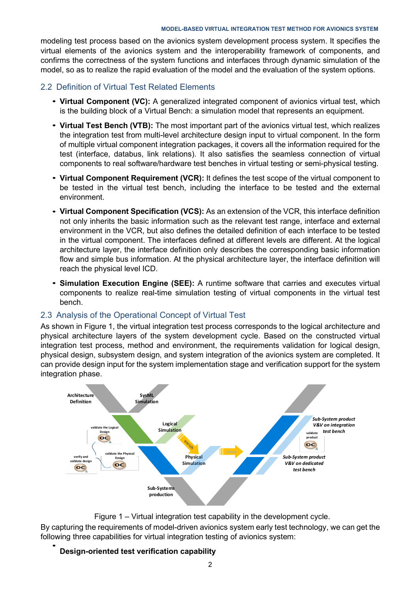modeling test process based on the avionics system development process system. It specifies the virtual elements of the avionics system and the interoperability framework of components, and confirms the correctness of the system functions and interfaces through dynamic simulation of the model, so as to realize the rapid evaluation of the model and the evaluation of the system options.

#### 2.2 Definition of Virtual Test Related Elements

- Virtual Component (VC): A generalized integrated component of avionics virtual test, which is the building block of a Virtual Bench: a simulation model that represents an equipment.
- Virtual Test Bench (VTB): The most important part of the avionics virtual test, which realizes the integration test from multi-level architecture design input to virtual component. In the form of multiple virtual component integration packages, it covers all the information required for the test (interface, databus, link relations). It also satisfies the seamless connection of virtual components to real software/hardware test benches in virtual testing or semi-physical testing.
- Virtual Component Requirement (VCR): It defines the test scope of the virtual component to be tested in the virtual test bench, including the interface to be tested and the external environment.
- Virtual Component Specification (VCS): As an extension of the VCR, this interface definition not only inherits the basic information such as the relevant test range, interface and external environment in the VCR, but also defines the detailed definition of each interface to be tested in the virtual component. The interfaces defined at different levels are different. At the logical architecture layer, the interface definition only describes the corresponding basic information flow and simple bus information. At the physical architecture layer, the interface definition will reach the physical level ICD.
- Simulation Execution Engine (SEE): A runtime software that carries and executes virtual components to realize real-time simulation testing of virtual components in the virtual test bench.

### 2.3 Analysis of the Operational Concept of Virtual Test

As shown in Figure 1, the virtual integration test process corresponds to the logical architecture and physical architecture layers of the system development cycle. Based on the constructed virtual integration test process, method and environment, the requirements validation for logical design, physical design, subsystem design, and system integration of the avionics system are completed. It can provide design input for the system implementation stage and verification support for the system integration phase.



Figure 1 – Virtual integration test capability in the development cycle.

By capturing the requirements of model-driven avionics system early test technology, we can get the following three capabilities for virtual integration testing of avionics system: •

#### Design-oriented test verification capability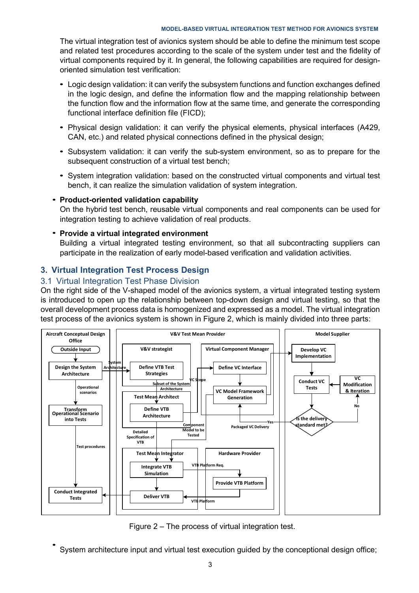The virtual integration test of avionics system should be able to define the minimum test scope and related test procedures according to the scale of the system under test and the fidelity of virtual components required by it. In general, the following capabilities are required for designoriented simulation test verification:

- Logic design validation: it can verify the subsystem functions and function exchanges defined in the logic design, and define the information flow and the mapping relationship between the function flow and the information flow at the same time, and generate the corresponding functional interface definition file (FICD);
- Physical design validation: it can verify the physical elements, physical interfaces (A429, CAN, etc.) and related physical connections defined in the physical design;
- Subsystem validation: it can verify the sub-system environment, so as to prepare for the subsequent construction of a virtual test bench;
- System integration validation: based on the constructed virtual components and virtual test bench, it can realize the simulation validation of system integration.

# • Product-oriented validation capability

On the hybrid test bench, reusable virtual components and real components can be used for integration testing to achieve validation of real products.

# • Provide a virtual integrated environment

Building a virtual integrated testing environment, so that all subcontracting suppliers can participate in the realization of early model-based verification and validation activities.

## 3. Virtual Integration Test Process Design

### 3.1 Virtual Integration Test Phase Division

On the right side of the V-shaped model of the avionics system, a virtual integrated testing system is introduced to open up the relationship between top-down design and virtual testing, so that the overall development process data is homogenized and expressed as a model. The virtual integration test process of the avionics system is shown in Figure 2, which is mainly divided into three parts:



Figure 2 – The process of virtual integration test.

System architecture input and virtual test execution guided by the conceptional design office; •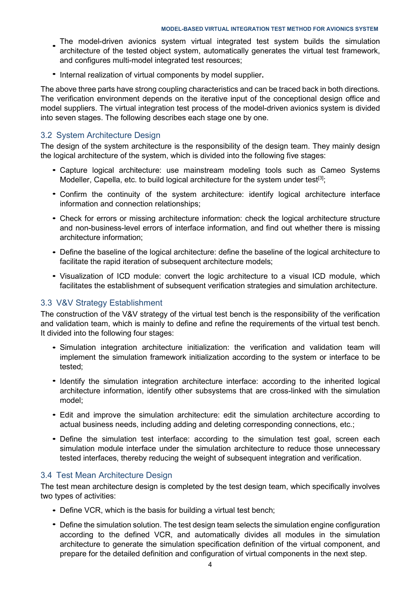- The model-driven avionics system virtual integrated test system builds the simulation architecture of the tested object system, automatically generates the virtual test framework,<br>architecture of the tested object system, automatically generates the virtual test framework, and configures multi-model integrated test resources;
- Internal realization of virtual components by model supplier.

The above three parts have strong coupling characteristics and can be traced back in both directions. The verification environment depends on the iterative input of the conceptional design office and model suppliers. The virtual integration test process of the model-driven avionics system is divided into seven stages. The following describes each stage one by one.

# 3.2 System Architecture Design

The design of the system architecture is the responsibility of the design team. They mainly design the logical architecture of the system, which is divided into the following five stages:

- Capture logical architecture: use mainstream modeling tools such as Cameo Systems Modeller, Capella, etc. to build logical architecture for the system under test<sup>[3]</sup>;
- Confirm the continuity of the system architecture: identify logical architecture interface information and connection relationships;
- Check for errors or missing architecture information: check the logical architecture structure and non-business-level errors of interface information, and find out whether there is missing architecture information;
- Define the baseline of the logical architecture: define the baseline of the logical architecture to facilitate the rapid iteration of subsequent architecture models;
- Visualization of ICD module: convert the logic architecture to a visual ICD module, which facilitates the establishment of subsequent verification strategies and simulation architecture.

## 3.3 V&V Strategy Establishment

The construction of the V&V strategy of the virtual test bench is the responsibility of the verification and validation team, which is mainly to define and refine the requirements of the virtual test bench. It divided into the following four stages:

- Simulation integration architecture initialization: the verification and validation team will implement the simulation framework initialization according to the system or interface to be tested;
- Identify the simulation integration architecture interface: according to the inherited logical architecture information, identify other subsystems that are cross-linked with the simulation model;
- Edit and improve the simulation architecture: edit the simulation architecture according to actual business needs, including adding and deleting corresponding connections, etc.;
- Define the simulation test interface: according to the simulation test goal, screen each simulation module interface under the simulation architecture to reduce those unnecessary tested interfaces, thereby reducing the weight of subsequent integration and verification.

## 3.4 Test Mean Architecture Design

The test mean architecture design is completed by the test design team, which specifically involves two types of activities:

- Define VCR, which is the basis for building a virtual test bench;
- Define the simulation solution. The test design team selects the simulation engine configuration according to the defined VCR, and automatically divides all modules in the simulation architecture to generate the simulation specification definition of the virtual component, and prepare for the detailed definition and configuration of virtual components in the next step.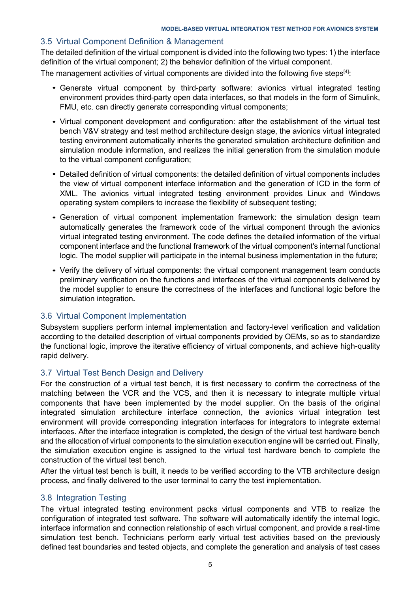### 3.5 Virtual Component Definition & Management

The detailed definition of the virtual component is divided into the following two types: 1) the interface definition of the virtual component; 2) the behavior definition of the virtual component.

The management activities of virtual components are divided into the following five steps $[4]$ :

- Generate virtual component by third-party software: avionics virtual integrated testing environment provides third-party open data interfaces, so that models in the form of Simulink, FMU, etc. can directly generate corresponding virtual components;
- Virtual component development and configuration: after the establishment of the virtual test bench V&V strategy and test method architecture design stage, the avionics virtual integrated testing environment automatically inherits the generated simulation architecture definition and simulation module information, and realizes the initial generation from the simulation module to the virtual component configuration;
- Detailed definition of virtual components: the detailed definition of virtual components includes the view of virtual component interface information and the generation of ICD in the form of XML. The avionics virtual integrated testing environment provides Linux and Windows operating system compilers to increase the flexibility of subsequent testing;
- Generation of virtual component implementation framework: the simulation design team automatically generates the framework code of the virtual component through the avionics virtual integrated testing environment. The code defines the detailed information of the virtual component interface and the functional framework of the virtual component's internal functional logic. The model supplier will participate in the internal business implementation in the future;
- Verify the delivery of virtual components: the virtual component management team conducts •preliminary verification on the functions and interfaces of the virtual components delivered by the model supplier to ensure the correctness of the interfaces and functional logic before the simulation integration.

### 3.6 Virtual Component Implementation

Subsystem suppliers perform internal implementation and factory-level verification and validation according to the detailed description of virtual components provided by OEMs, so as to standardize the functional logic, improve the iterative efficiency of virtual components, and achieve high-quality rapid delivery.

## 3.7 Virtual Test Bench Design and Delivery

For the construction of a virtual test bench, it is first necessary to confirm the correctness of the matching between the VCR and the VCS, and then it is necessary to integrate multiple virtual components that have been implemented by the model supplier. On the basis of the original integrated simulation architecture interface connection, the avionics virtual integration test environment will provide corresponding integration interfaces for integrators to integrate external interfaces. After the interface integration is completed, the design of the virtual test hardware bench and the allocation of virtual components to the simulation execution engine will be carried out. Finally, the simulation execution engine is assigned to the virtual test hardware bench to complete the construction of the virtual test bench.

After the virtual test bench is built, it needs to be verified according to the VTB architecture design process, and finally delivered to the user terminal to carry the test implementation.

### 3.8 Integration Testing

The virtual integrated testing environment packs virtual components and VTB to realize the configuration of integrated test software. The software will automatically identify the internal logic, interface information and connection relationship of each virtual component, and provide a real-time simulation test bench. Technicians perform early virtual test activities based on the previously defined test boundaries and tested objects, and complete the generation and analysis of test cases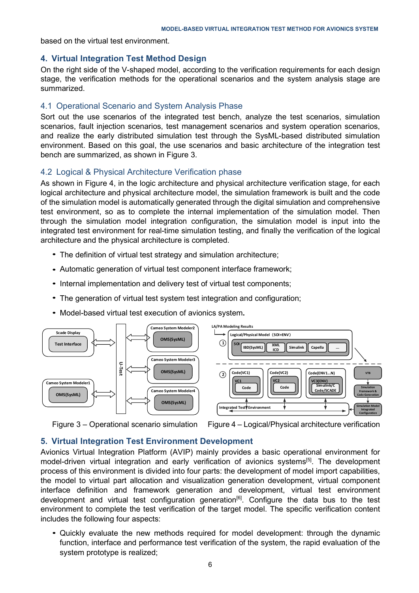based on the virtual test environment.

## 4. Virtual Integration Test Method Design

On the right side of the V-shaped model, according to the verification requirements for each design stage, the verification methods for the operational scenarios and the system analysis stage are summarized.

## 4.1 Operational Scenario and System Analysis Phase

Sort out the use scenarios of the integrated test bench, analyze the test scenarios, simulation scenarios, fault injection scenarios, test management scenarios and system operation scenarios, and realize the early distributed simulation test through the SysML-based distributed simulation environment. Based on this goal, the use scenarios and basic architecture of the integration test bench are summarized, as shown in Figure 3.

## 4.2 Logical & Physical Architecture Verification phase

As shown in Figure 4, in the logic architecture and physical architecture verification stage, for each logical architecture and physical architecture model, the simulation framework is built and the code of the simulation model is automatically generated through the digital simulation and comprehensive test environment, so as to complete the internal implementation of the simulation model. Then through the simulation model integration configuration, the simulation model is input into the integrated test environment for real-time simulation testing, and finally the verification of the logical architecture and the physical architecture is completed.

- The definition of virtual test strategy and simulation architecture;
- Automatic generation of virtual test component interface framework; •
- Internal implementation and delivery test of virtual test components;
- The generation of virtual test system test integration and configuration;
- Model-based virtual test execution of avionics system.





## 5. Virtual Integration Test Environment Development

Avionics Virtual Integration Platform (AVIP) mainly provides a basic operational environment for model-driven virtual integration and early verification of avionics systems<sup>[5]</sup>. The development process of this environment is divided into four parts: the development of model import capabilities, the model to virtual part allocation and visualization generation development, virtual component interface definition and framework generation and development, virtual test environment development and virtual test configuration generation<sup>[6]</sup>. Configure the data bus to the test environment to complete the test verification of the target model. The specific verification content includes the following four aspects:

Quickly evaluate the new methods required for model development: through the dynamic • function, interface and performance test verification of the system, the rapid evaluation of the system prototype is realized;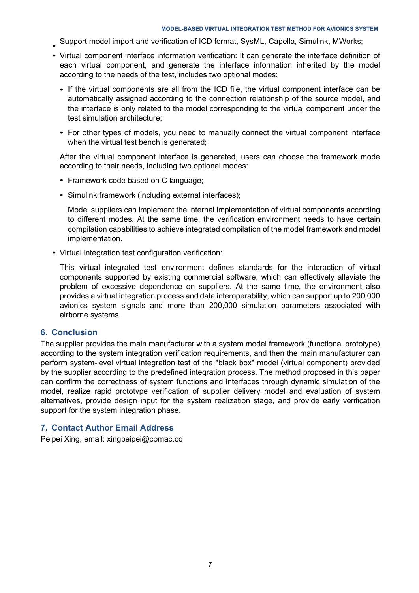- Support model import and verification of ICD format, SysML, Capella, Simulink, MWorks; •
- Virtual component interface information verification: It can generate the interface definition of each virtual component, and generate the interface information inherited by the model according to the needs of the test, includes two optional modes:
	- If the virtual components are all from the ICD file, the virtual component interface can be automatically assigned according to the connection relationship of the source model, and the interface is only related to the model corresponding to the virtual component under the test simulation architecture;
	- For other types of models, you need to manually connect the virtual component interface when the virtual test bench is generated;

After the virtual component interface is generated, users can choose the framework mode according to their needs, including two optional modes:

- Framework code based on C language;
- Simulink framework (including external interfaces);

Model suppliers can implement the internal implementation of virtual components according to different modes. At the same time, the verification environment needs to have certain compilation capabilities to achieve integrated compilation of the model framework and model implementation.

• Virtual integration test configuration verification:

This virtual integrated test environment defines standards for the interaction of virtual components supported by existing commercial software, which can effectively alleviate the problem of excessive dependence on suppliers. At the same time, the environment also provides a virtual integration process and data interoperability, which can support up to 200,000 avionics system signals and more than 200,000 simulation parameters associated with airborne systems.

### 6. Conclusion

The supplier provides the main manufacturer with a system model framework (functional prototype) according to the system integration verification requirements, and then the main manufacturer can perform system-level virtual integration test of the "black box" model (virtual component) provided by the supplier according to the predefined integration process. The method proposed in this paper can confirm the correctness of system functions and interfaces through dynamic simulation of the model, realize rapid prototype verification of supplier delivery model and evaluation of system alternatives, provide design input for the system realization stage, and provide early verification support for the system integration phase.

## 7. Contact Author Email Address

Peipei Xing, email: xingpeipei@comac.cc